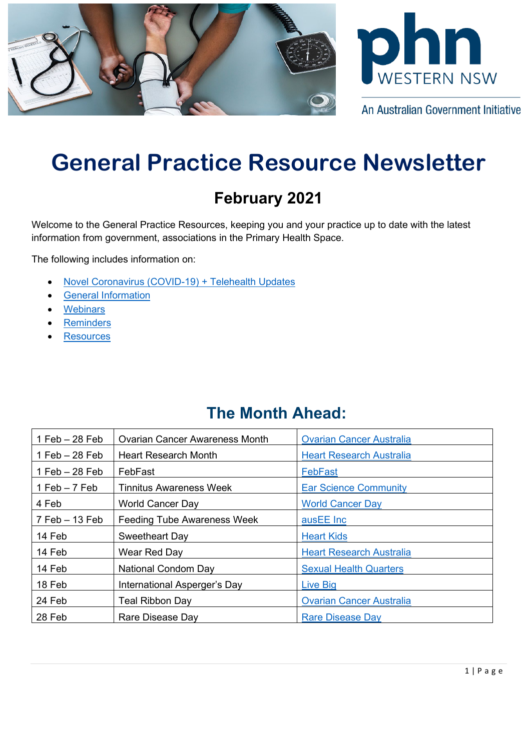



An Australian Government Initiative

# **General Practice Resource Newsletter**

## **February 2021**

Welcome to the General Practice Resources, keeping you and your practice up to date with the latest information from government, associations in the Primary Health Space.

The following includes information on:

- [Novel Coronavirus \(COVID-19\)](#page-0-0) + Telehealth Updates
- [General Information](#page-2-0)
- **[Webinars](#page-5-0)**
- **[Reminders](#page-7-0)**
- **[Resources](#page-7-1)**

## **The Month Ahead:**

<span id="page-0-0"></span>

| $1$ Feb $-28$ Feb  | <b>Ovarian Cancer Awareness Month</b> | <b>Ovarian Cancer Australia</b> |
|--------------------|---------------------------------------|---------------------------------|
| $1$ Feb $-$ 28 Feb | <b>Heart Research Month</b>           | <b>Heart Research Australia</b> |
| $1$ Feb $-28$ Feb  | FebFast                               | FebFast                         |
| 1 Feb $-7$ Feb     | <b>Tinnitus Awareness Week</b>        | <b>Ear Science Community</b>    |
| 4 Feb              | <b>World Cancer Day</b>               | <b>World Cancer Day</b>         |
| $7$ Feb $-$ 13 Feb | <b>Feeding Tube Awareness Week</b>    | ausEE Inc                       |
| 14 Feb             | <b>Sweetheart Day</b>                 | <b>Heart Kids</b>               |
| 14 Feb             | Wear Red Day                          | <b>Heart Research Australia</b> |
| 14 Feb             | <b>National Condom Day</b>            | <b>Sexual Health Quarters</b>   |
| 18 Feb             | International Asperger's Day          | Live Big                        |
| 24 Feb             | Teal Ribbon Day                       | <b>Ovarian Cancer Australia</b> |
| 28 Feb             | Rare Disease Day                      | <b>Rare Disease Day</b>         |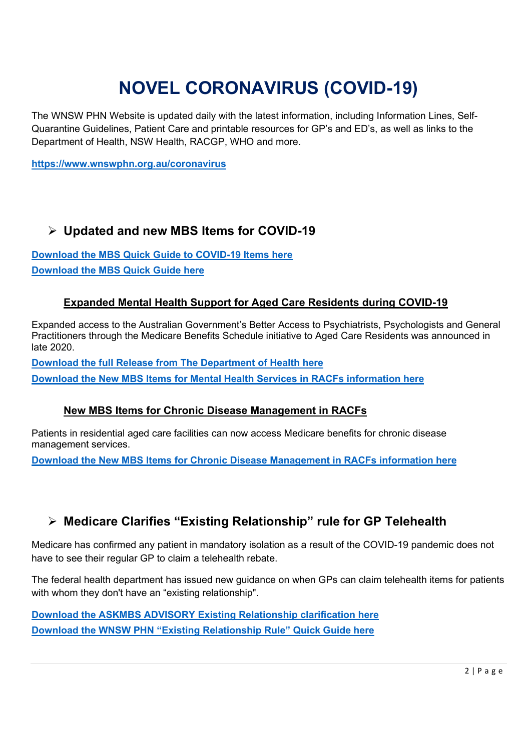# **NOVEL CORONAVIRUS (COVID-19)**

The WNSW PHN Website is updated daily with the latest information, including Information Lines, Self-Quarantine Guidelines, Patient Care and printable resources for GP's and ED's, as well as links to the Department of Health, NSW Health, RACGP, WHO and more.

**<https://www.wnswphn.org.au/coronavirus>**

#### **Updated and new MBS Items for COVID-19**

**[Download the MBS Quick](https://www.wnswphn.org.au/uploads/documents/newsletters/GP%20Resources%20February%202021/mbs_card_jan21_covid-19_items.pdf) Guide to COVID-19 Items here [Download the MBS Quick Guide here](https://www.wnswphn.org.au/uploads/documents/newsletters/GP%20Resources%20February%202021/mbs-quick-guide-feb21.pdf)**

#### **Expanded Mental Health Support for Aged Care Residents during COVID-19**

Expanded access to the Australian Government's Better Access to Psychiatrists, Psychologists and General Practitioners through the Medicare Benefits Schedule initiative to Aged Care Residents was announced in late 2020.

**[Download the full Release from The Department of Health here](https://www.wnswphn.org.au/uploads/documents/newsletters/GP%20Resources%20February%202021/Information%20for%20PHNs%20-%20Better%20Access%20expansion%20to%20aged%20care%20residents%20(002).pdf)**

**[Download the New MBS Items for Mental Health Services in RACFs information here](https://www.wnswphn.org.au/uploads/documents/newsletters/GP%20Resources%20February%202021/New%20MBS%20items%20for%20mental%20health%20services%20in%20residential%20aged%20care%20facilities.pdf)**

#### **New MBS Items for Chronic Disease Management in RACFs**

Patients in residential aged care facilities can now access Medicare benefits for chronic disease management services.

**[Download the New MBS Items for Chronic Disease Management](https://www.wnswphn.org.au/uploads/documents/newsletters/GP%20Resources%20February%202021/New%20Chronic%20Disease%20Management%20items%20for%20patients%20in%20residential%20aged%20care%20facilities.pdf) in RACFs information here**

#### **Medicare Clarifies "Existing Relationship" rule for GP Telehealth**

Medicare has confirmed any patient in mandatory isolation as a result of the COVID-19 pandemic does not have to see their regular GP to claim a telehealth rebate.

The federal health department has issued new guidance on when GPs can claim telehealth items for patients with whom they don't have an "existing relationship".

**[Download the ASKMBS ADVISORY](https://www.wnswphn.org.au/uploads/documents/newsletters/GP%20Resources%20February%202021/Existing%20Relationship%20Clarification%20DoH.pdf) Existing Relationship clarification here [Download the WNSW PHN "Existing Relationship Rule" Quick Guide here](https://www.wnswphn.org.au/uploads/documents/newsletters/GP%20Resources%20February%202021/GP%20Telehealth%20Existing%20Relationship%20Exemption%20Guide.pdf)**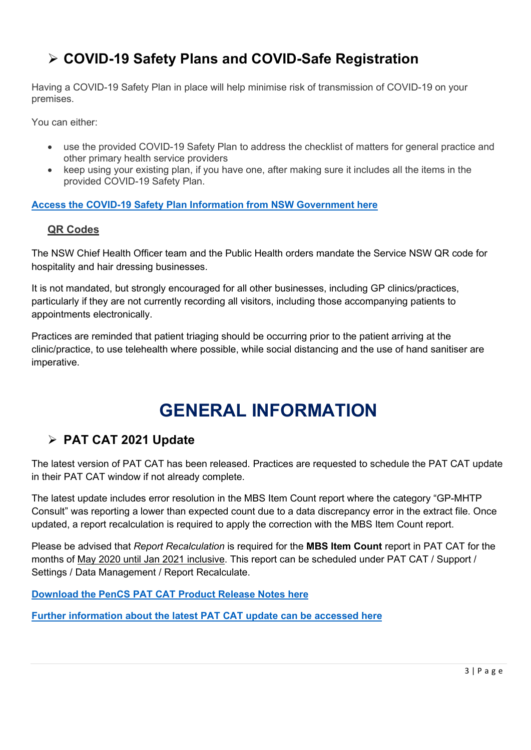## **COVID-19 Safety Plans and COVID-Safe Registration**

Having a COVID-19 Safety Plan in place will help minimise risk of transmission of COVID-19 on your premises.

You can either:

- use the provided COVID-19 Safety Plan to address the checklist of matters for general practice and other primary health service providers
- keep using your existing plan, if you have one, after making sure it includes all the items in the provided COVID-19 Safety Plan.

**[Access the COVID-19 Safety Plan Information from NSW Government here](https://www.nsw.gov.au/covid-19/covid-safe/general-practice-and-other-primary-health-service-providers)**

#### **QR Codes**

The NSW Chief Health Officer team and the Public Health orders mandate the Service NSW QR code for hospitality and hair dressing businesses.

It is not mandated, but strongly encouraged for all other businesses, including GP clinics/practices, particularly if they are not currently recording all visitors, including those accompanying patients to appointments electronically.

Practices are reminded that patient triaging should be occurring prior to the patient arriving at the clinic/practice, to use telehealth where possible, while social distancing and the use of hand sanitiser are imperative.

## **GENERAL INFORMATION**

### <span id="page-2-0"></span>**PAT CAT 2021 Update**

The latest version of PAT CAT has been released. Practices are requested to schedule the PAT CAT update in their PAT CAT window if not already complete.

The latest update includes error resolution in the MBS Item Count report where the category "GP-MHTP Consult" was reporting a lower than expected count due to a data discrepancy error in the extract file. Once updated, a report recalculation is required to apply the correction with the MBS Item Count report.

Please be advised that *Report Recalculation* is required for the **MBS Item Count** report in PAT CAT for the months of May 2020 until Jan 2021 inclusive. This report can be scheduled under PAT CAT / Support / Settings / Data Management / Report Recalculate.

**[Download the PenCS PAT CAT Product Release Notes here](https://www.wnswphn.org.au/uploads/documents/newsletters/GP%20Resources%20February%202021/Pen%20CS_PATCAT_Release_Notes_v3.6.4.3.pdf)**

**[Further information about the latest PAT CAT update can be accessed here](https://help.pencs.com.au/display/ds/PAT+CAT+Release+Notes+3.6)**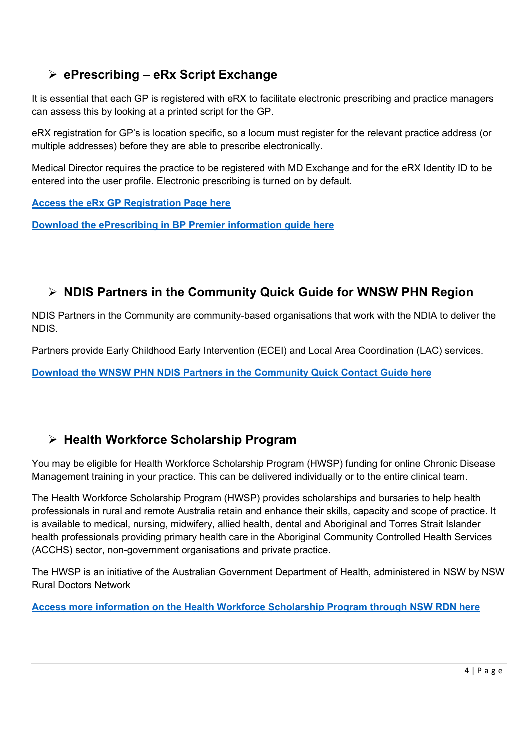#### **ePrescribing – eRx Script Exchange**

It is essential that each GP is registered with eRX to facilitate electronic prescribing and practice managers can assess this by looking at a printed script for the GP.

eRX registration for GP's is location specific, so a locum must register for the relevant practice address (or multiple addresses) before they are able to prescribe electronically.

Medical Director requires the practice to be registered with MD Exchange and for the eRX Identity ID to be entered into the user profile. Electronic prescribing is turned on by default.

**[Access the eRx GP Registration Page here](https://aus01.safelinks.protection.outlook.com/?url=https%3A%2F%2Fregister.erx.com.au%2Fasprescriber&data=04%7C01%7Canthony.thompson%40wnswphn.org.au%7C7e0063c2aca34a415c8608d8c26ba5d8%7C3a417f0a466542e0a2cb686915490e8a%7C0%7C0%7C637473114899305507%7CUnknown%7CTWFpbGZsb3d8eyJWIjoiMC4wLjAwMDAiLCJQIjoiV2luMzIiLCJBTiI6Ik1haWwiLCJXVCI6Mn0%3D%7C1000&sdata=R20JCOyHPJX4up1dJn0KJCCnVQJi7fDwaTtviRonav0%3D&reserved=0)**

**[Download the ePrescribing in BP](https://www.wnswphn.org.au/uploads/documents/newsletters/GP%20Resources%20February%202021/Bp-Config-guide-eRX.pdf) Premier information guide here**

#### **NDIS Partners in the Community Quick Guide for WNSW PHN Region**

NDIS Partners in the Community are community-based organisations that work with the NDIA to deliver the NDIS.

Partners provide Early Childhood Early Intervention (ECEI) and Local Area Coordination (LAC) services.

**Download the WNSW PHN [NDIS Partners in the Community Quick Contact Guide here](https://www.wnswphn.org.au/uploads/documents/newsletters/GP%20Resources%20February%202021/NDIS%20Partners%20in%20the%20Community%20Flyer%20-%20270121.pdf)**

#### **Health Workforce Scholarship Program**

You may be eligible for Health Workforce Scholarship Program (HWSP) funding for online Chronic Disease Management training in your practice. This can be delivered individually or to the entire clinical team.

The Health Workforce Scholarship Program (HWSP) provides scholarships and bursaries to help health professionals in rural and remote Australia retain and enhance their skills, capacity and scope of practice. It is available to medical, nursing, midwifery, allied health, dental and Aboriginal and Torres Strait Islander health professionals providing primary health care in the Aboriginal Community Controlled Health Services (ACCHS) sector, non-government organisations and private practice.

The HWSP is an initiative of the Australian Government Department of Health, administered in NSW by NSW Rural Doctors Network

**[Access more information on the Health Workforce Scholarship Program through NSW RDN here](https://www.nswrdn.com.au/hwsp?fbclid=IwAR3z1QE3M4kg1jGwS0r7d35sSCdWXZXzbevOzD2YfOXZIBcNBdmMC954IAg)**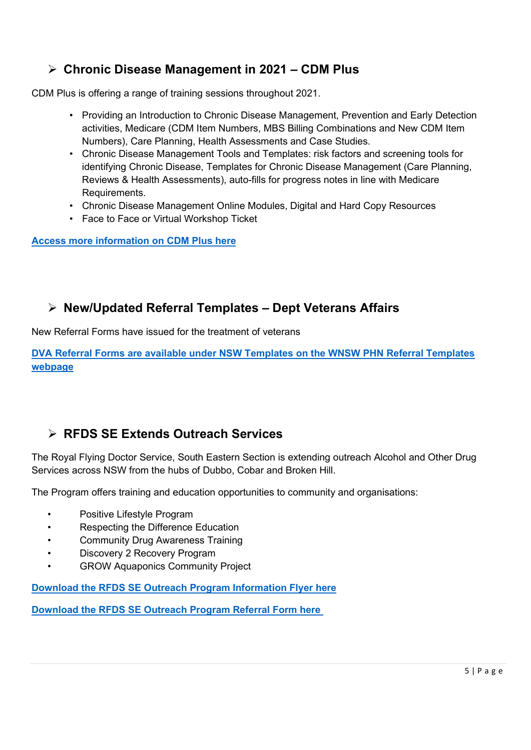#### **Chronic Disease Management in 2021 – CDM Plus**

CDM Plus is offering a range of training sessions throughout 2021.

- Providing an Introduction to Chronic Disease Management, Prevention and Early Detection activities, Medicare (CDM Item Numbers, MBS Billing Combinations and New CDM Item Numbers), Care Planning, Health Assessments and Case Studies.
- Chronic Disease Management Tools and Templates: risk factors and screening tools for identifying Chronic Disease, Templates for Chronic Disease Management (Care Planning, Reviews & Health Assessments), auto-fills for progress notes in line with Medicare Requirements.
- Chronic Disease Management Online Modules, Digital and Hard Copy Resources
- Face to Face or Virtual Workshop Ticket

**[Access more information on CDM](https://cdmplus.com.au/chronic-disease-training?gclid=Cj0KCQiAx9mABhD0ARIsAEfpavRSniVIB9Wo11Uw9sob7ym9v6BU_QFMniF6FwS23FsJUgQHFy6xHRoaAvSkEALw_wcB) Plus here**

#### **New/Updated Referral Templates – Dept Veterans Affairs**

New Referral Forms have issued for the treatment of veterans

**DVA Referral Forms [are available under NSW Templates on the WNSW PHN Referral Templates](https://www.wnswphn.org.au/resources/gp-referral-templates)  [webpage](https://www.wnswphn.org.au/resources/gp-referral-templates)**

### **RFDS SE Extends Outreach Services**

The Royal Flying Doctor Service, South Eastern Section is extending outreach Alcohol and Other Drug Services across NSW from the hubs of Dubbo, Cobar and Broken Hill.

The Program offers training and education opportunities to community and organisations:

- Positive Lifestyle Program
- Respecting the Difference Education
- Community Drug Awareness Training
- Discovery 2 Recovery Program
- GROW Aquaponics Community Project

**[Download the RFDS SE Outreach Program Information Flyer here](https://www.wnswphn.org.au/uploads/documents/Referral%20Information/RFDS%20AOD%20Brochure%2017.09.2019.pdf)**

**[Download the RFDS SE Outreach Program Referral Form here](https://www.wnswphn.org.au/uploads/documents/Referral%20Information/AoD%20referral%20form%20-%20self%20fill.docx)**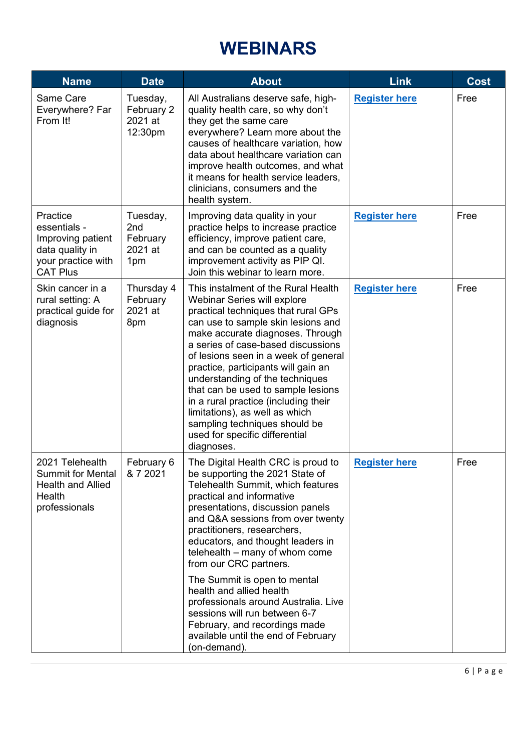# **WEBINARS**

<span id="page-5-0"></span>

| <b>Name</b>                                                                                               | <b>Date</b>                                               | <b>About</b>                                                                                                                                                                                                                                                                                                                                                                                                                                                                                                                                 | <b>Link</b>          | <b>Cost</b> |
|-----------------------------------------------------------------------------------------------------------|-----------------------------------------------------------|----------------------------------------------------------------------------------------------------------------------------------------------------------------------------------------------------------------------------------------------------------------------------------------------------------------------------------------------------------------------------------------------------------------------------------------------------------------------------------------------------------------------------------------------|----------------------|-------------|
| Same Care<br>Everywhere? Far<br>From It!                                                                  | Tuesday,<br>February 2<br>2021 at<br>12:30pm              | All Australians deserve safe, high-<br>quality health care, so why don't<br>they get the same care<br>everywhere? Learn more about the<br>causes of healthcare variation, how<br>data about healthcare variation can<br>improve health outcomes, and what<br>it means for health service leaders,<br>clinicians, consumers and the<br>health system.                                                                                                                                                                                         | <b>Register here</b> | Free        |
| Practice<br>essentials -<br>Improving patient<br>data quality in<br>your practice with<br><b>CAT Plus</b> | Tuesday,<br>2 <sub>nd</sub><br>February<br>2021 at<br>1pm | Improving data quality in your<br>practice helps to increase practice<br>efficiency, improve patient care,<br>and can be counted as a quality<br>improvement activity as PIP QI.<br>Join this webinar to learn more.                                                                                                                                                                                                                                                                                                                         | <b>Register here</b> | Free        |
| Skin cancer in a<br>rural setting: A<br>practical guide for<br>diagnosis                                  | Thursday 4<br>February<br>2021 at<br>8pm                  | This instalment of the Rural Health<br>Webinar Series will explore<br>practical techniques that rural GPs<br>can use to sample skin lesions and<br>make accurate diagnoses. Through<br>a series of case-based discussions<br>of lesions seen in a week of general<br>practice, participants will gain an<br>understanding of the techniques<br>that can be used to sample lesions<br>in a rural practice (including their<br>limitations), as well as which<br>sampling techniques should be<br>used for specific differential<br>diagnoses. | <b>Register here</b> | Free        |
| 2021 Telehealth<br><b>Summit for Mental</b><br><b>Health and Allied</b><br>Health<br>professionals        | February 6<br>& 7 2021                                    | The Digital Health CRC is proud to<br>be supporting the 2021 State of<br>Telehealth Summit, which features<br>practical and informative<br>presentations, discussion panels<br>and Q&A sessions from over twenty<br>practitioners, researchers,<br>educators, and thought leaders in<br>telehealth - many of whom come<br>from our CRC partners.                                                                                                                                                                                             | <b>Register here</b> | Free        |
|                                                                                                           |                                                           | The Summit is open to mental<br>health and allied health<br>professionals around Australia. Live<br>sessions will run between 6-7<br>February, and recordings made<br>available until the end of February<br>(on-demand).                                                                                                                                                                                                                                                                                                                    |                      |             |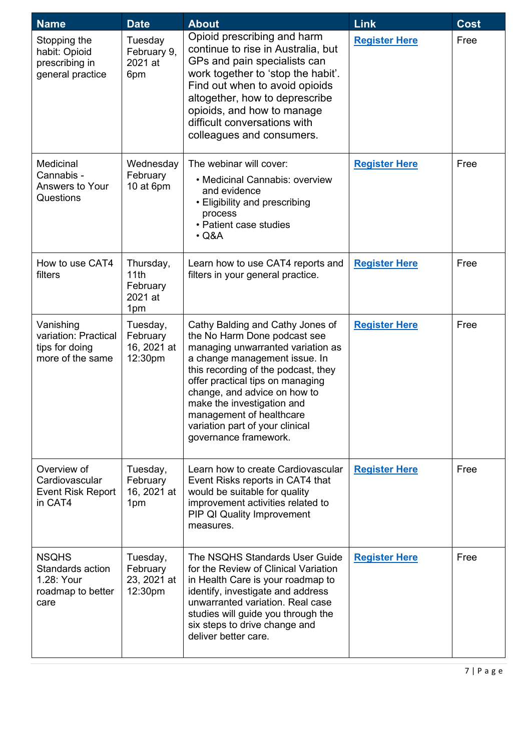| <b>Name</b>                                                                 | <b>Date</b>                                     | <b>About</b>                                                                                                                                                                                                                                                                                                                                                            | Link                 | <b>Cost</b> |
|-----------------------------------------------------------------------------|-------------------------------------------------|-------------------------------------------------------------------------------------------------------------------------------------------------------------------------------------------------------------------------------------------------------------------------------------------------------------------------------------------------------------------------|----------------------|-------------|
| Stopping the<br>habit: Opioid<br>prescribing in<br>general practice         | Tuesday<br>February 9,<br>2021 at<br>6pm        | Opioid prescribing and harm<br>continue to rise in Australia, but<br>GPs and pain specialists can<br>work together to 'stop the habit'.<br>Find out when to avoid opioids<br>altogether, how to deprescribe<br>opioids, and how to manage<br>difficult conversations with<br>colleagues and consumers.                                                                  | <b>Register Here</b> | Free        |
| Medicinal<br>Cannabis -<br>Answers to Your<br>Questions                     | Wednesday<br>February<br>10 at 6pm              | The webinar will cover:<br>• Medicinal Cannabis: overview<br>and evidence<br>• Eligibility and prescribing<br>process<br>• Patient case studies<br>$\cdot$ Q&A                                                                                                                                                                                                          | <b>Register Here</b> | Free        |
| How to use CAT4<br>filters                                                  | Thursday,<br>11th<br>February<br>2021 at<br>1pm | Learn how to use CAT4 reports and<br>filters in your general practice.                                                                                                                                                                                                                                                                                                  | <b>Register Here</b> | Free        |
| Vanishing<br>variation: Practical<br>tips for doing<br>more of the same     | Tuesday,<br>February<br>16, 2021 at<br>12:30pm  | Cathy Balding and Cathy Jones of<br>the No Harm Done podcast see<br>managing unwarranted variation as<br>a change management issue. In<br>this recording of the podcast, they<br>offer practical tips on managing<br>change, and advice on how to<br>make the investigation and<br>management of healthcare<br>variation part of your clinical<br>governance framework. | <b>Register Here</b> | Free        |
| Overview of<br>Cardiovascular<br><b>Event Risk Report</b><br>in CAT4        | Tuesday,<br>February<br>16, 2021 at<br>1pm      | Learn how to create Cardiovascular<br>Event Risks reports in CAT4 that<br>would be suitable for quality<br>improvement activities related to<br><b>PIP QI Quality Improvement</b><br>measures.                                                                                                                                                                          | <b>Register Here</b> | Free        |
| <b>NSQHS</b><br>Standards action<br>1.28: Your<br>roadmap to better<br>care | Tuesday,<br>February<br>23, 2021 at<br>12:30pm  | The NSQHS Standards User Guide<br>for the Review of Clinical Variation<br>in Health Care is your roadmap to<br>identify, investigate and address<br>unwarranted variation. Real case<br>studies will guide you through the<br>six steps to drive change and<br>deliver better care.                                                                                     | <b>Register Here</b> | Free        |